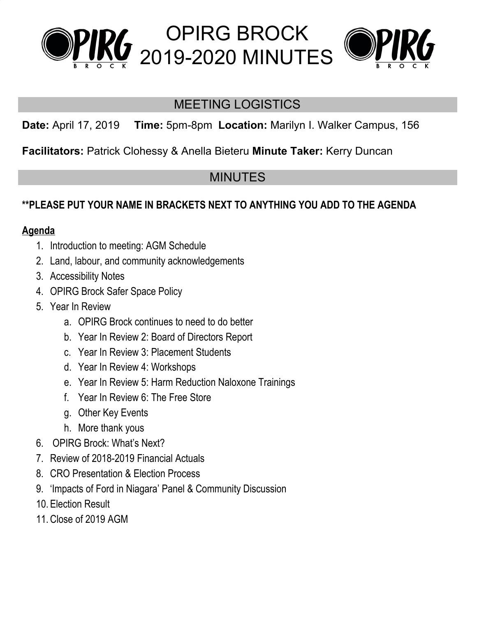



## MEETING LOGISTICS

OPIRG BROCK

**Date:** April 17, 2019 **Time:** 5pm-8pm **Location:** Marilyn I. Walker Campus, 156

**Facilitators:** Patrick Clohessy & Anella Bieteru **Minute Taker:** Kerry Duncan

## MINUTES

## **\*\*PLEASE PUT YOUR NAME IN BRACKETS NEXT TO ANYTHING YOU ADD TO THE AGENDA**

## **Agenda**

- 1. Introduction to meeting: AGM Schedule
- 2. Land, labour, and community acknowledgements
- 3. Accessibility Notes
- 4. OPIRG Brock Safer Space Policy
- 5. Year In Review
	- a. OPIRG Brock continues to need to do better
	- b. Year In Review 2: Board of Directors Report
	- c. Year In Review 3: Placement Students
	- d. Year In Review 4: Workshops
	- e. Year In Review 5: Harm Reduction Naloxone Trainings
	- f. Year In Review 6: The Free Store
	- g. Other Key Events
	- h. More thank yous
- 6. OPIRG Brock: What's Next?
- 7. Review of 2018-2019 Financial Actuals
- 8. CRO Presentation & Election Process
- 9. 'Impacts of Ford in Niagara' Panel & Community Discussion
- 10. Election Result
- 11.Close of 2019 AGM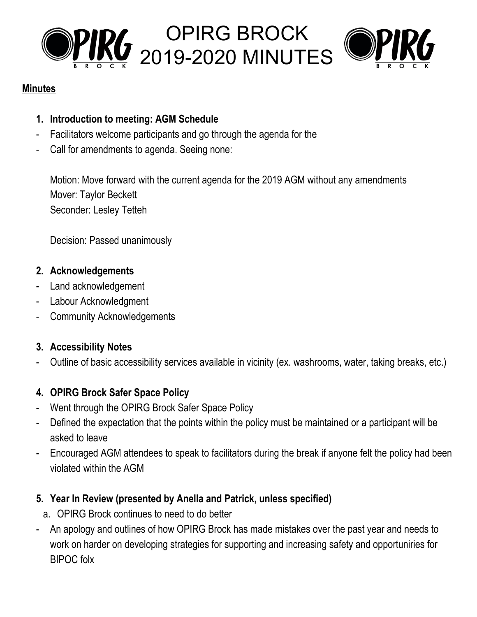



#### **Minutes**

- **1. Introduction to meeting: AGM Schedule**
- Facilitators welcome participants and go through the agenda for the
- Call for amendments to agenda. Seeing none:

Motion: Move forward with the current agenda for the 2019 AGM without any amendments Mover: Taylor Beckett Seconder: Lesley Tetteh

Decision: Passed unanimously

#### **2. Acknowledgements**

- Land acknowledgement
- Labour Acknowledgment
- Community Acknowledgements

## **3. Accessibility Notes**

- Outline of basic accessibility services available in vicinity (ex. washrooms, water, taking breaks, etc.)

## **4. OPIRG Brock Safer Space Policy**

- Went through the OPIRG Brock Safer Space Policy
- Defined the expectation that the points within the policy must be maintained or a participant will be asked to leave
- Encouraged AGM attendees to speak to facilitators during the break if anyone felt the policy had been violated within the AGM

## **5. Year In Review (presented by Anella and Patrick, unless specified)**

- a. OPIRG Brock continues to need to do better
- An apology and outlines of how OPIRG Brock has made mistakes over the past year and needs to work on harder on developing strategies for supporting and increasing safety and opportuniries for BIPOC folx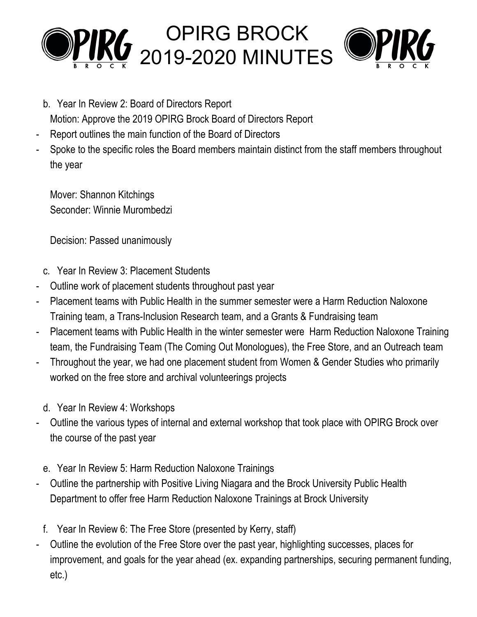



- b. Year In Review 2: Board of Directors Report Motion: Approve the 2019 OPIRG Brock Board of Directors Report
- Report outlines the main function of the Board of Directors
- Spoke to the specific roles the Board members maintain distinct from the staff members throughout the year

Mover: Shannon Kitchings Seconder: Winnie Murombedzi

Decision: Passed unanimously

- c. Year In Review 3: Placement Students
- Outline work of placement students throughout past year
- Placement teams with Public Health in the summer semester were a Harm Reduction Naloxone Training team, a Trans-Inclusion Research team, and a Grants & Fundraising team
- Placement teams with Public Health in the winter semester were Harm Reduction Naloxone Training team, the Fundraising Team (The Coming Out Monologues), the Free Store, and an Outreach team
- Throughout the year, we had one placement student from Women & Gender Studies who primarily worked on the free store and archival volunteerings projects
	- d. Year In Review 4: Workshops
- Outline the various types of internal and external workshop that took place with OPIRG Brock over the course of the past year
	- e. Year In Review 5: Harm Reduction Naloxone Trainings
- Outline the partnership with Positive Living Niagara and the Brock University Public Health Department to offer free Harm Reduction Naloxone Trainings at Brock University
- f. Year In Review 6: The Free Store (presented by Kerry, staff)
- Outline the evolution of the Free Store over the past year, highlighting successes, places for improvement, and goals for the year ahead (ex. expanding partnerships, securing permanent funding, etc.)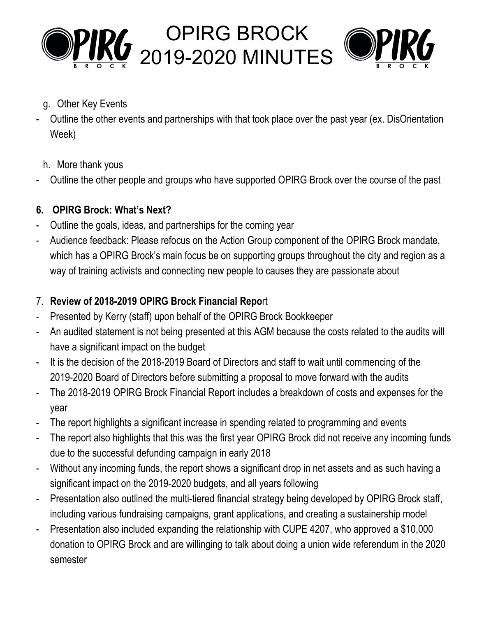



- g. Other Key Events
- Outline the other events and partnerships with that took place over the past year (ex. DisOrientation Week)
	- h. More thank yous
- Outline the other people and groups who have supported OPIRG Brock over the course of the past

## **6. OPIRG Brock: What's Next?**

- Outline the goals, ideas, and partnerships for the coming year
- Audience feedback: Please refocus on the Action Group component of the OPIRG Brock mandate, which has a OPIRG Brock's main focus be on supporting groups throughout the city and region as a way of training activists and connecting new people to causes they are passionate about

## 7. **Review of 2018-2019 OPIRG Brock Financial Repo**rt

- Presented by Kerry (staff) upon behalf of the OPIRG Brock Bookkeeper
- An audited statement is not being presented at this AGM because the costs related to the audits will have a significant impact on the budget
- It is the decision of the 2018-2019 Board of Directors and staff to wait until commencing of the 2019-2020 Board of Directors before submitting a proposal to move forward with the audits
- The 2018-2019 OPIRG Brock Financial Report includes a breakdown of costs and expenses for the year
- The report highlights a significant increase in spending related to programming and events
- The report also highlights that this was the first year OPIRG Brock did not receive any incoming funds due to the successful defunding campaign in early 2018
- Without any incoming funds, the report shows a significant drop in net assets and as such having a significant impact on the 2019-2020 budgets, and all years following
- Presentation also outlined the multi-tiered financial strategy being developed by OPIRG Brock staff, including various fundraising campaigns, grant applications, and creating a sustainership model
- Presentation also included expanding the relationship with CUPE 4207, who approved a \$10,000 donation to OPIRG Brock and are willinging to talk about doing a union wide referendum in the 2020 semester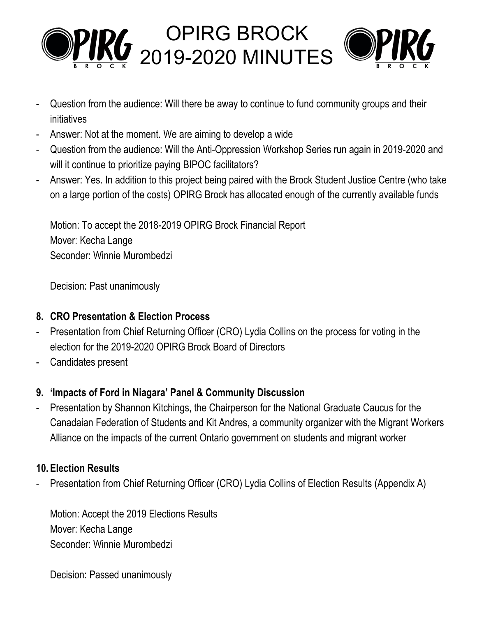

- Question from the audience: Will there be away to continue to fund community groups and their initiatives
- Answer: Not at the moment. We are aiming to develop a wide
- Question from the audience: Will the Anti-Oppression Workshop Series run again in 2019-2020 and will it continue to prioritize paying BIPOC facilitators?
- Answer: Yes. In addition to this project being paired with the Brock Student Justice Centre (who take on a large portion of the costs) OPIRG Brock has allocated enough of the currently available funds

Motion: To accept the 2018-2019 OPIRG Brock Financial Report Mover: Kecha Lange Seconder: Winnie Murombedzi

Decision: Past unanimously

## **8. CRO Presentation & Election Process**

- Presentation from Chief Returning Officer (CRO) Lydia Collins on the process for voting in the election for the 2019-2020 OPIRG Brock Board of Directors
- Candidates present

## **9. 'Impacts of Ford in Niagara' Panel & Community Discussion**

- Presentation by Shannon Kitchings, the Chairperson for the National Graduate Caucus for the Canadaian Federation of Students and Kit Andres, a community organizer with the Migrant Workers Alliance on the impacts of the current Ontario government on students and migrant worker

## **10. Election Results**

Presentation from Chief Returning Officer (CRO) Lydia Collins of Election Results (Appendix A)

Motion: Accept the 2019 Elections Results Mover: Kecha Lange Seconder: Winnie Murombedzi

Decision: Passed unanimously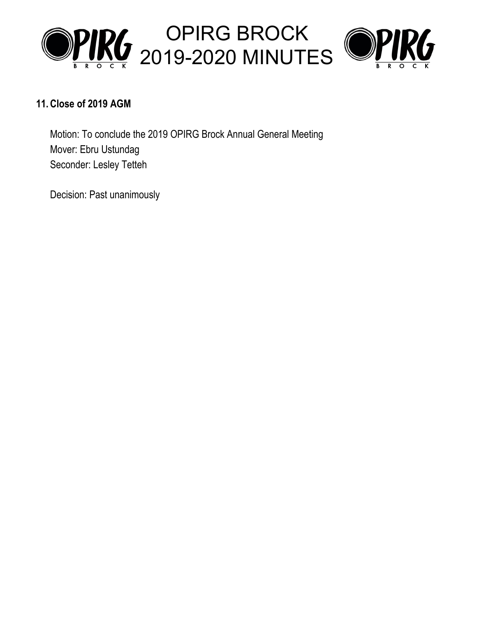



#### **11.Close of 2019 AGM**

Motion: To conclude the 2019 OPIRG Brock Annual General Meeting Mover: Ebru Ustundag Seconder: Lesley Tetteh

Decision: Past unanimously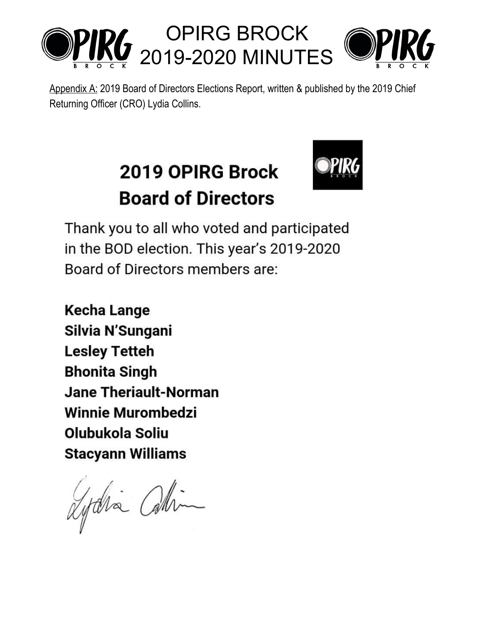

Appendix A: 2019 Board of Directors Elections Report, written & published by the 2019 Chief Returning Officer (CRO) Lydia Collins.

# 2019 OPIRG Brock **Board of Directors**



Thank you to all who voted and participated in the BOD election. This year's 2019-2020 Board of Directors members are:

**Kecha Lange** Silvia N'Sungani **Lesley Tetteh Bhonita Singh Jane Theriault-Norman Winnie Murombedzi** Olubukola Soliu **Stacyann Williams** 

Lydia Chin